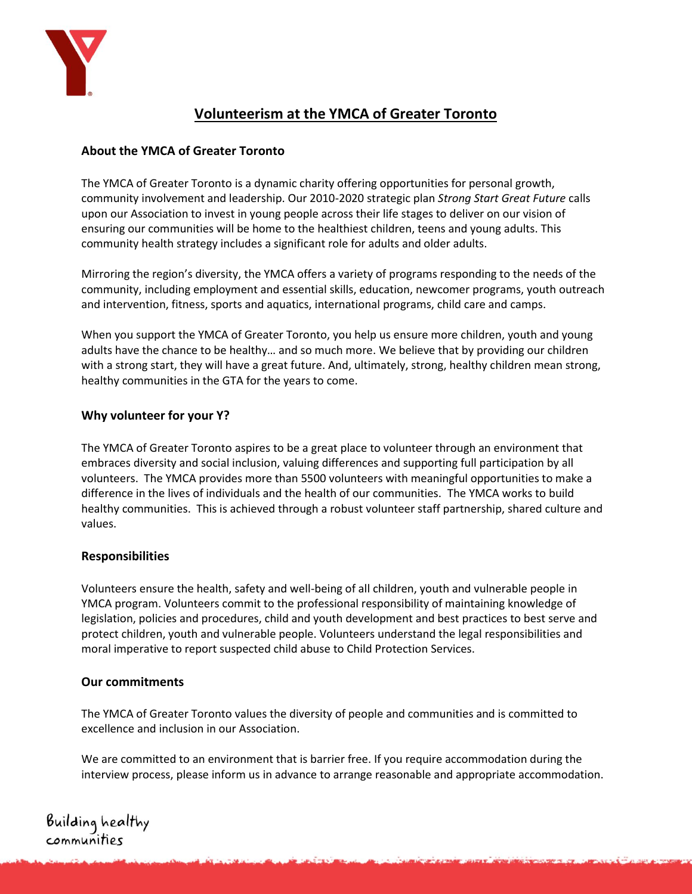

# **Volunteerism at the YMCA of Greater Toronto**

# **About the YMCA of Greater Toronto**

The YMCA of Greater Toronto is a dynamic charity offering opportunities for personal growth, community involvement and leadership. Our 2010-2020 strategic plan *[Strong Start Great Future](http://www.ymcagta.org/en/files/PDF/YMCA_StratPlan_2010_2020.pdf)* calls upon our Association to invest in young people across their life stages to deliver on our vision of ensuring our communities will be home to the healthiest children, teens and young adults. This community health strategy includes a significant role for adults and older adults.

Mirroring the region's diversity, the YMCA offers a variety of programs responding to the needs of the community, including employment and essential skills, education, newcomer programs, youth outreach and intervention, fitness, sports and aquatics, international programs, child care and camps.

When you support the YMCA of Greater Toronto, you help us ensure more children, youth and young adults have the chance to be healthy… and so much more. We believe that by providing our children with a strong start, they will have a great future. And, ultimately, strong, healthy children mean strong, healthy communities in the GTA for the years to come.

## **Why volunteer for your Y?**

The YMCA of Greater Toronto aspires to be a great place to volunteer through an environment that embraces diversity and social inclusion, valuing differences and supporting full participation by all volunteers. The YMCA provides more than 5500 volunteers with meaningful opportunities to make a difference in the lives of individuals and the health of our communities. The YMCA works to build healthy communities. This is achieved through a robust volunteer staff partnership, shared culture and values.

## **Responsibilities**

Volunteers ensure the health, safety and well-being of all children, youth and vulnerable people in YMCA program. Volunteers commit to the professional responsibility of maintaining knowledge of legislation, policies and procedures, child and youth development and best practices to best serve and protect children, youth and vulnerable people. Volunteers understand the legal responsibilities and moral imperative to report suspected child abuse to Child Protection Services.

## **Our commitments**

The YMCA of Greater Toronto values the diversity of people and communities and is committed to excellence and inclusion in our Association.

We are committed to an environment that is barrier free. If you require accommodation during the interview process, please inform us in advance to arrange reasonable and appropriate accommodation.

Building healthy<br>communities